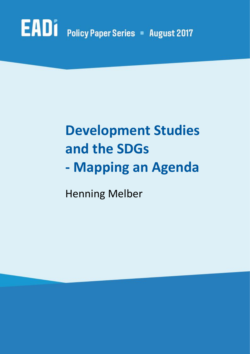# EADI Policy Paper Series - August 2017

## **Development Studies and the SDGs - Mapping an Agenda**

Henning Melber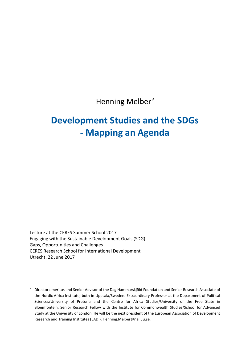Henning Melber

#### **Development Studies and the SDGs - Mapping an Agenda**

Lecture at the CERES Summer School 2017 Engaging with the Sustainable Development Goals (SDG): Gaps, Opportunities and Challenges CERES Research School for International Development Utrecht, 22 June 2017

Director emeritus and Senior Advisor of the Dag Hammarskjöld Foundation and Senior Research Associate of the Nordic Africa Institute, both in Uppsala/Sweden. Extraordinary Professor at the Department of Political Sciences/University of Pretoria and the Centre for Africa Studies/University of the Free State in Bloemfontein; Senior Research Fellow with the Institute for Commonwealth Studies/School for Advanced Study at the University of London. He will be the next president of the European Association of Development Research and Training Institutes (EADI). Henning.Melber@nai.uu.se.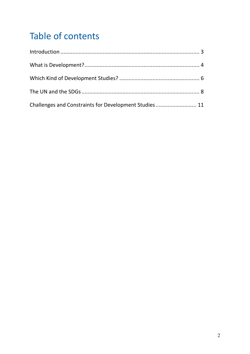#### Table of contents

| Challenges and Constraints for Development Studies 11 |  |
|-------------------------------------------------------|--|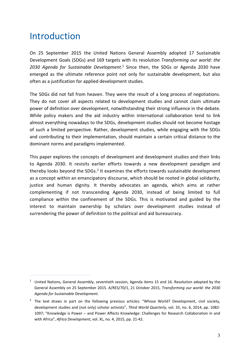#### Introduction

 $\overline{a}$ 

On 25 September 2015 the United Nations General Assembly adopted 17 Sustainable Development Goals (SDGs) and 169 targets with its resolution *Transforming our world: the 2030 Agenda for Sustainable Development*. <sup>1</sup> Since then, the SDGs or Agenda 2030 have emerged as the ultimate reference point not only for sustainable development, but also often as a justification for applied development studies.

The SDGs did not fall from heaven. They were the result of a long process of negotiations. They do not cover all aspects related to development studies and cannot claim ultimate power of definition over development, notwithstanding their strong influence in the debate. While policy makers and the aid industry within international collaboration tend to link almost everything nowadays to the SDGs, development studies should not become hostage of such a limited perspective. Rather, development studies, while engaging with the SDGs and contributing to their implementation, should maintain a certain critical distance to the dominant norms and paradigms implemented.

This paper explores the concepts of development and development studies and their links to Agenda 2030. It revisits earlier efforts towards a new development paradigm and thereby looks beyond the SDGs.<sup>2</sup> It examines the efforts towards sustainable development as a concept within an emancipatory discourse, which should be rooted in global solidarity, justice and human dignity. It thereby advocates an agenda, which aims at rather complementing if not transcending Agenda 2030, instead of being limited to full compliance within the confinement of the SDGs. This is motivated and guided by the interest to maintain ownership by scholars over development studies instead of surrendering the power of definition to the political and aid bureaucracy.

 $1$  United Nations, General Assembly, seventieth session, Agenda items 15 and 16. Resolution adopted by the General Assembly on 25 September 2015. A/RES/70/1, 21 October 2015, *Transforming our world: the 2030 Agenda for Sustainable Development*.

<sup>&</sup>lt;sup>2</sup> The text draws in part on the following previous articles: "Whose World? Development, civil society, development studies and (not only) scholar activists", *Third World Quarterly*, vol. 35, no. 6, 2014, pp. 1082- 1097; "Knowledge is Power – and Power Affects Knowledge: Challenges for Research Collaboration in and with Africa", *Africa Development*, vol. XL, no. 4, 2015, pp. 21-42.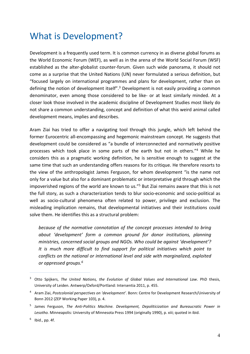#### What is Development?

Development is a frequently used term. It is common currency in as diverse global forums as the World Economic Forum (WEF), as well as in the arena of the World Social Forum (WSF) established as the alter-globalist counter-forum. Given such wide panorama, it should not come as a surprise that the United Nations (UN) never formulated a serious definition, but "focused largely on international programmes and plans for development, rather than on defining the notion of development itself".<sup>3</sup> Development is not easily providing a common denominator, even among those considered to be like- or at least similarly minded. At a closer look those involved in the academic discipline of Development Studies most likely do not share a common understanding, concept and definition of what this weird animal called development means, implies and describes.

Aram Ziai has tried to offer a navigating tool through this jungle, which left behind the former Eurocentric all-encompassing and hegemonic mainstream concept. He suggests that development could be considered as "a bundle of interconnected and normatively positive processes which took place in some parts of the earth but not in others."4 While he considers this as a pragmatic working definition, he is sensitive enough to suggest at the same time that such an understanding offers reasons for its critique. He therefore resorts to the view of the anthropologist James Ferguson, for whom development "is the name not only for a value but also for a dominant problematic or interpretative grid through which the impoverished regions of the world are known to us."<sup>5</sup> But Ziai remains aware that this is not the full story, as such a characterization tends to blur socio-economic and socio-political as well as socio-cultural phenomena often related to power, privilege and exclusion. The misleading implication remains, that developmental initiatives and their institutions could solve them. He identifies this as a structural problem:

*because of the normative connotation of the concept processes intended to bring about 'development' form a common ground for donor institutions, planning ministries, concerned social groups and NGOs. Who could be against 'development'? It is much more difficult to find support for political initiatives which point to conflicts on the national or international level and side with marginalized, exploited or oppressed groups.6*

<sup>3</sup> Otto Spijkers, *The United Nations, the Evolution of Global Values and International Law*. PhD thesis, University of Leiden. Antwerp/Oxford/Portland: Intersentia 2011, p. 455.

<sup>4</sup> Aram Ziai, *Postcolonial perspectives on 'development'*. Bonn: Centre for Development Research/University of Bonn 2012 (ZEP Working Paper 103), p. 4.

<sup>5</sup> James Ferguson, *The Anti-Politics Machine. Development, Depoliticization and Bureaucratic Power in Lesotho.* Minneapolis: University of Minnesota Press 1994 (originally 1990), p. xiii; quoted in ibid.

 $6$  Ibid., pp. 4f.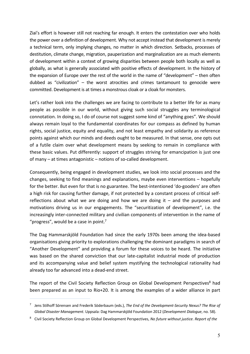Ziai's effort is however still not reaching far enough. It enters the contestation over who holds the power over a definition of development. Why not accept instead that development is merely a technical term, only implying changes, no matter in which direction. Setbacks, processes of destitution, climate change, migration, pauperization and marginalization are as much elements of development within a context of growing disparities between people both locally as well as globally, as what is generally associated with positive effects of development. In the history of the expansion of Europe over the rest of the world in the name of "development" – then often dubbed as "civilization" – the worst atrocities and crimes tantamount to genocide were committed. Development is at times a monstrous cloak or a cloak for monsters.

Let's rather look into the challenges we are facing to contribute to a better life for as many people as possible in our world, without giving such social struggles any terminological connotation. In doing so, I do of course not suggest some kind of "anything goes". We should always remain loyal to the fundamental coordinates for our compass as defined by human rights, social justice, equity and equality, and not least empathy and solidarity as reference points against which our minds and deeds ought to be measured. In that sense, one opts out of a futile claim over what development means by seeking to remain in compliance with these basic values. Put differently: support of struggles striving for emancipation is just one of many – at times antagonistic – notions of so-called development.

Consequently, being engaged in development studies, we look into social processes and the changes, seeking to find meanings and explanations, maybe even interventions – hopefully for the better. But even for that is no guarantee. The best-intentioned 'do-gooders' are often a high risk for causing further damage, if not protected by a constant process of critical selfreflections about what we are doing and how we are doing it  $-$  and the purposes and motivations driving us in our engagements. The "securitization of development", i.e. the increasingly inter-connected military and civilian components of intervention in the name of "progress", would be a case in point.<sup>7</sup>

The Dag Hammarskjöld Foundation had since the early 1970s been among the idea-based organisations giving priority to explorations challenging the dominant paradigms in search of "Another Development" and providing a forum for these voices to be heard. The initiative was based on the shared conviction that our late-capitalist industrial mode of production and its accompanying value and belief system mystifying the technological rationality had already too far advanced into a dead-end street.

The report of the Civil Society Reflection Group on Global Development Perspectives<sup>8</sup> had been prepared as an input to Rio+20. It is among the examples of a wider alliance in part

<sup>7</sup> Jens Stilhoff Sörensen and Frederik Söderbaum (eds.), *The End of the Development-Security Nexus? The Rise of Global Disaster Management*. Uppsala: Dag Hammarskjöld Foundation 2012 (*Development Dialogue*, no. 58).

<sup>8</sup> Civil Society Reflection Group on Global Development Perspectives, *No future without justice. Report of the*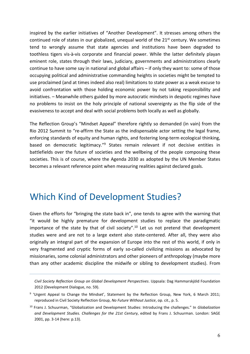inspired by the earlier initiatives of "Another Development". It stresses among others the continued role of states in our globalized, unequal world of the 21<sup>st</sup> century. We sometimes tend to wrongly assume that state agencies and institutions have been degraded to toothless tigers vis-à-vis corporate and financial power. While the latter definitely playan eminent role, states through their laws, judiciary, governments and administrations clearly continue to have some say in national and global affairs – if only they want to: some of those occupying political and administrative commanding heights in societies might be tempted to use proclaimed (and at times indeed also real) limitations to state power as a weak excuse to avoid confrontation with those holding economic power by not taking responsibility and initiatives. – Meanwhile others guided by more autocratic mindsets in despotic regimes have no problems to insist on the holy principle of national sovereignty as the flip side of the evasiveness to accept and deal with social problems both locally as well as globally.

The Reflection Group's "Mindset Appeal" therefore rightly so demanded (in vain) from the Rio 2012 Summit to "re-affirm the State as the indispensable actor setting the legal frame, enforcing standards of equity and human rights, and fostering long-term ecological thinking, based on democratic legitimacy."9 States remain relevant if not decisive entities in battlefields over the future of societies and the wellbeing of the people composing these societies. This is of course, where the Agenda 2030 as adopted by the UN Member States becomes a relevant reference point when measuring realities against declared goals.

#### Which Kind of Development Studies?

 $\overline{a}$ 

Given the efforts for "bringing the state back in", one tends to agree with the warning that "it would be highly premature for development studies to replace the paradigmatic importance of the state by that of civil society".<sup>10</sup> Let us not pretend that development studies were and are not to a large extent also state-centered. After all, they were also originally an integral part of the expansion of Europe into the rest of this world, if only in very fragmented and cryptic forms of early so-called civilizing missions as advocated by missionaries, some colonial administrators and other pioneers of anthropology (maybe more than any other academic discipline the midwife or sibling to development studies). From

*Civil Society Reflection Group on Global Development Perspectives*. Uppsala: Dag Hammarskjöld Foundation 2012 (Development Dialogue, no. 59).

<sup>9</sup> 'Urgent Appeal to Change the Mindset', Statement by the Reflection Group, New York, 6 March 2011; reproduced in Civil Society Reflection Group, *No Future Without Justice*, op. cit., p. 5.

<sup>10</sup> Frans J. Schuurman, "Globalization and Development Studies: Introducing the challenges." In *Globalization and Development Studies. Challenges for the 21st Century*, edited by Frans J. Schuurman. London: SAGE 2001, pp. 3-14 (here: p.13).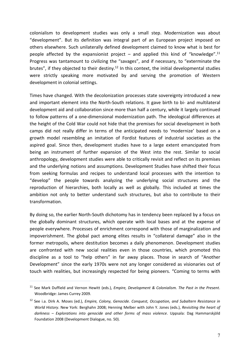colonialism to development studies was only a small step. Modernization was about "development". But its definition was integral part of an European project imposed on others elsewhere. Such unilaterally defined development claimed to know what is best for people affected by the expansionist project  $-$  and applied this kind of "knowledge".<sup>11</sup> Progress was tantamount to civilizing the "savages", and if necessary, to "exterminate the brutes", if they objected to their destiny.<sup>12</sup> In this context, the initial developmental studies were strictly speaking more motivated by and serving the promotion of Western development in colonial settings.

Times have changed. With the decolonization processes state sovereignty introduced a new and important element into the North-South relations. It gave birth to bi- and multilateral development aid and collaboration since more than half a century, while it largely continued to follow patterns of a one-dimensional modernization path. The ideological differences at the height of the Cold War could not hide that the premises for social development in both camps did not really differ in terms of the anticipated needs to 'modernize' based on a growth model resembling an imitation of Fordist features of industrial societies as the aspired goal. Since then, development studies have to a large extent emancipated from being an instrument of further expansion of the West into the rest. Similar to social anthropology, development studies were able to critically revisit and reflect on its premises and the underlying notions and assumptions. Development Studies have shifted their focus from seeking formulas and recipes to understand local processes with the intention to "develop" the people towards analyzing the underlying social structures and the reproduction of hierarchies, both locally as well as globally. This included at times the ambition not only to better understand such structures, but also to contribute to their transformation.

By doing so, the earlier North-South dichotomy has in tendency been replaced by a focus on the globally dominant structures, which operate with local bases and at the expense of people everywhere. Processes of enrichment correspond with those of marginalization and impoverishment. The global pact among elites results in "collateral damage" also in the former metropolis, where destitution becomes a daily phenomenon. Development studies are confronted with new social realities even in those countries, which promoted this discipline as a tool to "help others" in far away places. Those in search of "Another Development" since the early 1970s were not any longer considered as visionaries out of touch with realities, but increasingly respected for being pioneers. "Coming to terms with

<sup>11</sup> See Mark Duffield and Vernon Hewitt (eds.), *Empire, Development & Colonialism. The Past in the Present*. Woodbridge: James Currey 2009.

<sup>12</sup> See i.a. Dirk A. Moses (ed.), *Empire, Colony, Genocide. Conquest, Occupation, and Subaltern Resistance in World History*. New York: Berghahn 2008; Henning Melber with John Y. Jones (eds.), *Revisiting the heart of darkness – Explorations into genocide and other forms of mass violence*. Uppsala: Dag Hammarskjöld Foundation 2008 (Development Dialogue, no. 50).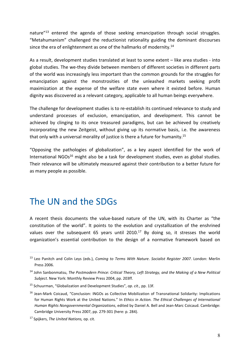nature"<sup>13</sup> entered the agenda of those seeking emancipation through social struggles. "Metahumanism" challenged the reductionist rationality guiding the dominant discourses since the era of enlightenment as one of the hallmarks of modernity.<sup>14</sup>

As a result, development studies translated at least to some extent – like area studies - into global studies. The we-they divide between members of different societies in different parts of the world was increasingly less important than the common grounds for the struggles for emancipation against the monstrosities of the unleashed markets seeking profit maximization at the expense of the welfare state even where it existed before. Human dignity was discovered as a relevant category, applicable to all human beings everywhere.

The challenge for development studies is to re-establish its continued relevance to study and understand processes of exclusion, emancipation, and development. This cannot be achieved by clinging to its once treasured paradigms, but can be achieved by creatively incorporating the new Zeitgeist, without giving up its normative basis, i.e. the awareness that only with a universal morality of justice is there a future for humanity.<sup>15</sup>

"Opposing the pathologies of globalization", as a key aspect identified for the work of International NGOs<sup>16</sup> might also be a task for development studies, even as global studies. Their relevance will be ultimately measured against their contribution to a better future for as many people as possible.

#### The UN and the SDGs

A recent thesis documents the value-based nature of the UN, with its Charter as "the constitution of the world". It points to the evolution and crystallization of the enshrined values over the subsequent 65 years until 2010.<sup>17</sup> By doing so, it stresses the world organization's essential contribution to the design of a normative framework based on

<sup>13</sup> Leo Panitch and Colin Leys (eds.), *Coming to Terms With Nature*. *Socialist Register 2007*. London: Merlin Press 2006.

<sup>14</sup> John Sanbonmatsu, *The Postmodern Prince: Critical Theory, Left Strategy, and the Making of a New Political Subject*. New York: Monthly Review Press 2004, pp. 203ff.

<sup>15</sup> Schuurman, "Globalization and Development Studies", *op. cit.*, pp. 13f.

<sup>&</sup>lt;sup>16</sup> Jean-Mark Coicaud, "Conclusion: INGOs as Collective Mobilization of Transnational Solidarity: Implications for Human Rights Work at the United Nations." In *Ethics in Action. The Ethical Challenges of International Human Rights Nongovernmental Organizations*, edited by Daniel A. Bell and Jean-Marc Coicaud. Cambridge: Cambridge University Press 2007, pp. 279-301 (here: p. 284).

<sup>17</sup> Spijkers, *The United Nations,* op. cit.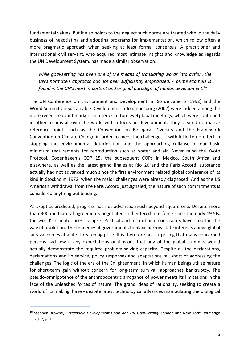fundamental values. But it also points to the neglect such norms are treated with in the daily business of negotiating and adopting programs for implementation, which follow often a more pragmatic approach when seeking at least formal consensus. A practitioner and international civil servant, who acquired most intimate insights and knowledge as regards the UN Development System, has made a similar observation:

*while goal-setting has been one of the means of translating words into action, the UN's normative approach has not been sufficiently emphasized. A prime example is found in the UN's most important and original paradigm of human development.18*

The UN Conference on Environment and Development in Rio de Janeiro (1992) and the World Summit on Sustainable Development in Johannesburg (2002) were indeed among the more recent relevant markers in a series of top-level global meetings, which were continued in other forums all over the world with a focus on development. They created normative reference points such as the Convention on Biological Diversity and the Framework Convention on Climate Change in order to meet the challenges – with little to no effect in stopping the environmental deterioration and the approaching collapse of our basic minimum requirements for reproduction such as water and air. Never mind the Kyoto Protocol, Copenhagen's COP 15, the subsequent COPs in Mexico, South Africa and elsewhere, as well as the latest grand finales at Rio+20 and the Paris Accord: substance actually had not advanced much since the first environment related global conference of its kind in Stockholm 1972, when the major challenges were already diagnosed. And as the US American withdrawal from the Paris Accord just signaled, the nature of such commitments is considered anything but binding.

As skeptics predicted, progress has not advanced much beyond square one. Despite more than 300 multilateral agreements negotiated and entered into force since the early 1970s, the world's climate faces collapse. Political and institutional constraints have stood in the way of a solution. The tendency of governments to place narrow state interests above global survival comes at a life-threatening price. It is therefore not surprising that many concerned persons had few if any expectations or illusions that any of the global summits would actually demonstrate the required problem-solving capacity. Despite all the declarations, declamations and lip service, policy responses and adaptations fall short of addressing the challenges. The logic of the era of the Enlightenment, in which human beings utilize nature for short-term gain without concern for long-term survival, approaches bankruptcy. The pseudo-omnipotence of the anthropocentric arrogance of power meets its limitations in the face of the unleashed forces of nature. The grand ideas of rationality, seeking to create a world of its making, have - despite latest technological advances manipulating the biological

<sup>&</sup>lt;sup>18</sup> Stephen Browne, *Sustainable Development Goals and UN Goal-Setting*. London and New York: Routledge 2017, p. 2.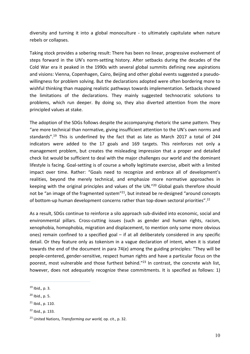diversity and turning it into a global monoculture - to ultimately capitulate when nature rebels or collapses.

Taking stock provides a sobering result: There has been no linear, progressive evolvement of steps forward in the UN's norm-setting history. After setbacks during the decades of the Cold War era it peaked in the 1990s with several global summits defining new aspirations and visions: Vienna, Copenhagen, Cairo, Beijing and other global events suggested a pseudowillingness for problem solving. But the declarations adopted were often bordering more to wishful thinking than mapping realistic pathways towards implementation. Setbacks showed the limitations of the declarations. They mainly suggested technocratic solutions to problems, which run deeper. By doing so, they also diverted attention from the more principled values at stake.

The adoption of the SDGs follows despite the accompanying rhetoric the same pattern. They "are more technical than normative, giving insufficient attention to the UN's own norms and standards".19 This is underlined by the fact that as late as March 2017 a total of 244 indicators were added to the 17 goals and 169 targets. This reinforces not only a management problem, but creates the misleading impression that a proper and detailed check list would be sufficient to deal with the major challenges our world and the dominant lifestyle is facing. Goal-setting is of course a wholly legitimate exercise, albeit with a limited impact over time. Rather: "Goals need to recognize and embrace all of development's realities, beyond the merely technical, and emphasize more normative approaches in keeping with the original principles and values of the UN."20 Global goals therefore should not be "an image of the fragmented system"<sup>21</sup>, but instead be re-designed "around concepts of bottom-up human development concerns rather than top-down sectoral priorities".22

As a result, SDGs continue to reinforce a silo approach sub-divided into economic, social and environmental pillars. Cross-cutting issues (such as gender and human rights, racism, xenophobia, homophobia, migration and displacement, to mention only some more obvious ones) remain confined to a specified goal – if at all deliberately considered in any specific detail. Or they feature only as tokenism in a vague declaration of intent, when it is stated towards the end of the document in para 74(e) among the guiding principles: "They will be people-centered, gender-sensitive, respect human rights and have a particular focus on the poorest, most vulnerable and those furthest behind."<sup>23</sup> In contrast, the concrete wish list, however, does not adequately recognize these commitments. It is specified as follows: 1)

l

<sup>19</sup> Ibid.*,* p. 3.

 $20$  Ibid., p. 5.

 $21$  Ibid., p. 110.

 $22$  Ibid., p. 133.

<sup>23</sup> United Nations, *Transforming our world,* op. cit., p. 32.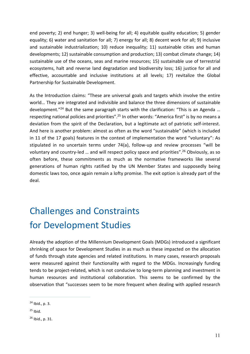end poverty; 2) end hunger; 3) well-being for all; 4) equitable quality education; 5) gender equality; 6) water and sanitation for all; 7) energy for all; 8) decent work for all; 9) inclusive and sustainable industrialization; 10) reduce inequality; 11) sustainable cities and human developments; 12) sustainable consumption and production; 13) combat climate change; 14) sustainable use of the oceans, seas and marine resources; 15) sustainable use of terrestrial ecosystems, halt and reverse land degradation and biodiversity loss; 16) justice for all and effective, accountable and inclusive institutions at all levels; 17) revitalize the Global Partnership for Sustainable Development.

As the Introduction claims: "These are universal goals and targets which involve the entire world… They are integrated and indivisible and balance the three dimensions of sustainable development."24 But the same paragraph starts with the clarification: "This is an Agenda … respecting national policies and priorities".<sup>25</sup> In other words: "America first" is by no means a deviation from the spirit of the Declaration, but a legitimate act of patriotic self-interest. And here is another problem: almost as often as the word "sustainable" (which is included in 11 of the 17 goals) features in the context of implementation the word "voluntary": As stipulated in no uncertain terms under 74(a), follow-up and review processes "will be voluntary and country-led … and will respect policy space and priorities".26 Obviously, as so often before, these commitments as much as the normative frameworks like several generations of human rights ratified by the UN Member States and supposedly being domestic laws too, once again remain a lofty promise. The exit option is already part of the deal.

### Challenges and Constraints for Development Studies

Already the adoption of the Millennium Development Goals (MDGs) introduced a significant shrinking of space for Development Studies in as much as these impacted on the allocation of funds through state agencies and related institutions. In many cases, research proposals were measured against their functionality with regard to the MDGs. Increasingly funding tends to be project-related, which is not conducive to long-term planning and investment in human resources and institutional collaboration. This seems to be confirmed by the observation that "successes seem to be more frequent when dealing with applied research

 $^{24}$  Ibid., p. 3.

 $25$  Ibid.

<sup>26</sup> Ibid., p. 31.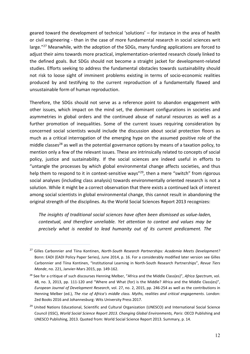geared toward the development of technical 'solutions' – for instance in the area of health or civil engineering - than in the case of more fundamental research in social sciences writ large."<sup>27</sup> Meanwhile, with the adoption of the SDGs, many funding applications are forced to adjust their aims towards more practical, implementation-oriented research closely linked to the defined goals. But SDGs should not become a straight jacket for development-related studies. Efforts seeking to address the fundamental obstacles towards sustainability should not risk to loose sight of imminent problems existing in terms of socio-economic realities produced by and testifying to the current reproduction of a fundamentally flawed and unsustainable form of human reproduction.

Therefore, the SDGs should not serve as a reference point to abandon engagement with other issues, which impact on the mind set, the dominant configurations in societies and asymmetries in global orders and the continued abuse of natural resources as well as a further promotion of inequalities. Some of the current issues requiring consideration by concerned social scientists would include the discussion about social protection floors as much as a critical interrogation of the emerging hype on the assumed positive role of the middle classes<sup>28</sup> as well as the potential governance options by means of a taxation policy, to mention only a few of the relevant issues. These are intrinsically related to concepts of social policy, justice and sustainability. If the social sciences are indeed useful in efforts to "untangle the processes by which global environmental change affects societies, and thus help them to respond to it in context-sensitive ways<sup>"29</sup>, then a mere "switch" from rigorous social analyses (including class analysis) towards environmentally oriented research is not a solution. While it might be a correct observation that there exists a continued lack of interest among social scientists in global environmental change, this cannot result in abandoning the original strength of the disciplines. As the World Social Sciences Report 2013 recognizes:

*The insights of traditional social sciences have often been dismissed as value-laden, contextual, and therefore unreliable. Yet attention to context and values may be precisely what is needed to lead humanity out of its current predicament. The* 

<sup>27</sup> Gilles Carbonnier and Tiina Kontinen, *North-South Research Partnerships: Academia Meets Development?* Bonn: EADI (EADI Policy Paper Series), June 2014, p. 16. For a considerably modified later version see Gilles Carbonnier and Tiina Kontinen, "Institutional Learning in North-South Research Partnerships", *Revue Tiers Monde*, no. 221, Janvier-Mars 2015, pp. 149-162.

<sup>28</sup> See for a critique of such discourses Henning Melber, "Africa and the Middle Class(es)", *Africa Spectrum*, vol. 48, no. 3, 2013, pp. 111-120 and "Where and What (for) is the Middle? Africa and the Middle Class(es)", *European Journal of Development Research*, vol. 27, no. 2, 2015, pp. 246-254 as well as the contributions in Henning Melber (ed.), *The rise of Africa's middle class. Myths, realities and critical engagements*. London: Zed Books 2016 and Johannesburg: Wits University Press 2017.

<sup>&</sup>lt;sup>29</sup> United Nations Educational, Scientific and Cultural Organization (UNESCO) and International Social Science Council (ISSC), *World Social Science Report 2013. Changing Global Environments, Paris*: OECD Publishing and UNESCO Publishing, 2013. Quoted from: World Social Science Report 2013. Summary, p. 14.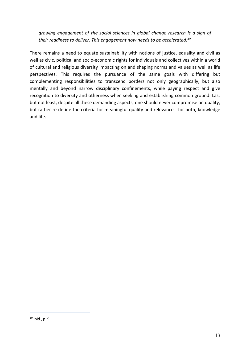*growing engagement of the social sciences in global change research is a sign of their readiness to deliver. This engagement now needs to be accelerated.30*

There remains a need to equate sustainability with notions of justice, equality and civil as well as civic, political and socio-economic rights for individuals and collectives within a world of cultural and religious diversity impacting on and shaping norms and values as well as life perspectives. This requires the pursuance of the same goals with differing but complementing responsibilities to transcend borders not only geographically, but also mentally and beyond narrow disciplinary confinements, while paying respect and give recognition to diversity and otherness when seeking and establishing common ground. Last but not least, despite all these demanding aspects, one should never compromise on quality, but rather re-define the criteria for meaningful quality and relevance - for both, knowledge and life.

<sup>30</sup> Ibid., p. 9.